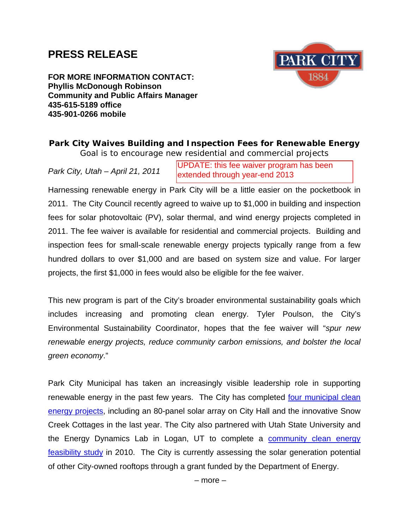## **PRESS RELEASE**



**FOR MORE INFORMATION CONTACT: Phyllis McDonough Robinson Community and Public Affairs Manager 435-615-5189 office 435-901-0266 mobile** 

## *Park City Waives Building and Inspection Fees for Renewable Energy Goal is to encourage new residential and commercial projects*

*Park City, Utah – April 21, 2011* 

UPDATE: this fee waiver program has been extended through year-end 2013

Harnessing renewable energy in Park City will be a little easier on the pocketbook in 2011. The City Council recently agreed to waive up to \$1,000 in building and inspection fees for solar photovoltaic (PV), solar thermal, and wind energy projects completed in 2011. The fee waiver is available for residential and commercial projects. Building and inspection fees for small-scale renewable energy projects typically range from a few hundred dollars to over \$1,000 and are based on system size and value. For larger projects, the first \$1,000 in fees would also be eligible for the fee waiver.

This new program is part of the City's broader environmental sustainability goals which includes increasing and promoting clean energy. Tyler Poulson, the City's Environmental Sustainability Coordinator, hopes that the fee waiver will "*spur new renewable energy projects, reduce community carbon emissions, and bolster the local green economy*."

Park City Municipal has taken an increasingly visible leadership role in supporting renewable energy in the past few years. The City has completed four municipal clean [energy projects,](http://www.parkcity.org/index.aspx?page=738) including an 80-panel solar array on City Hall and the innovative Snow Creek Cottages in the last year. The City also partnered with Utah State University and the Energy Dynamics Lab in Logan, UT to complete a community clean energy [feasibility study](http://www.parkcitygreen.org/Community/Community-Footprint/Documents/Renewable-Energy-Park-City-Study.aspx) in 2010. The City is currently assessing the solar generation potential of other City-owned rooftops through a grant funded by the Department of Energy.